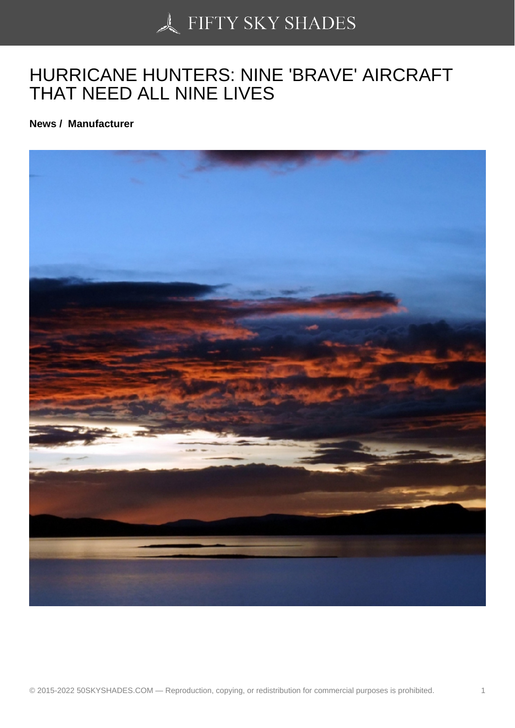# [HURRICANE HUNTER](https://50skyshades.com)S: NINE 'BRAVE' AIRCRAFT THAT NEED ALL NINE LIVES

News / Manufacturer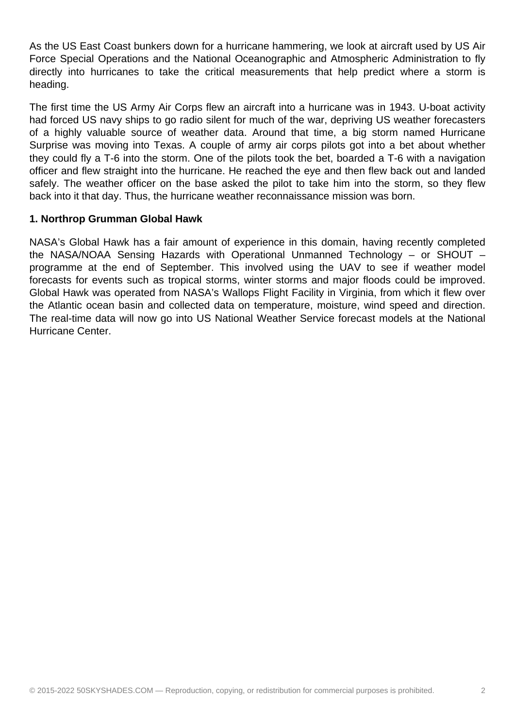As the US East Coast bunkers down for a hurricane hammering, we look at aircraft used by US Air Force Special Operations and the National Oceanographic and Atmospheric Administration to fly directly into hurricanes to take the critical measurements that help predict where a storm is heading.

The first time the US Army Air Corps flew an aircraft into a hurricane was in 1943. U-boat activity had forced US navy ships to go radio silent for much of the war, depriving US weather forecasters of a highly valuable source of weather data. Around that time, a big storm named Hurricane Surprise was moving into Texas. A couple of army air corps pilots got into a bet about whether they could fly a T-6 into the storm. One of the pilots took the bet, boarded a T-6 with a navigation officer and flew straight into the hurricane. He reached the eye and then flew back out and landed safely. The weather officer on the base asked the pilot to take him into the storm, so they flew back into it that day. Thus, the hurricane weather reconnaissance mission was born.

#### **1. Northrop Grumman Global Hawk**

NASA's Global Hawk has a fair amount of experience in this domain, having recently completed the NASA/NOAA Sensing Hazards with Operational Unmanned Technology – or SHOUT – programme at the end of September. This involved using the UAV to see if weather model forecasts for events such as tropical storms, winter storms and major floods could be improved. Global Hawk was operated from NASA's Wallops Flight Facility in Virginia, from which it flew over the Atlantic ocean basin and collected data on temperature, moisture, wind speed and direction. The real-time data will now go into US National Weather Service forecast models at the National Hurricane Center.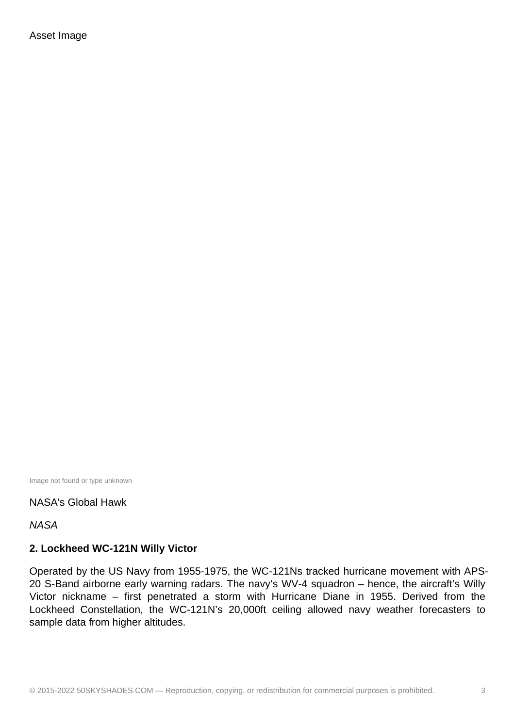Image not found or type unknown

NASA's Global Hawk

**NASA** 

#### **2. Lockheed WC-121N Willy Victor**

Operated by the US Navy from 1955-1975, the WC-121Ns tracked hurricane movement with APS-20 S-Band airborne early warning radars. The navy's WV-4 squadron – hence, the aircraft's Willy Victor nickname – first penetrated a storm with Hurricane Diane in 1955. Derived from the Lockheed Constellation, the WC-121N's 20,000ft ceiling allowed navy weather forecasters to sample data from higher altitudes.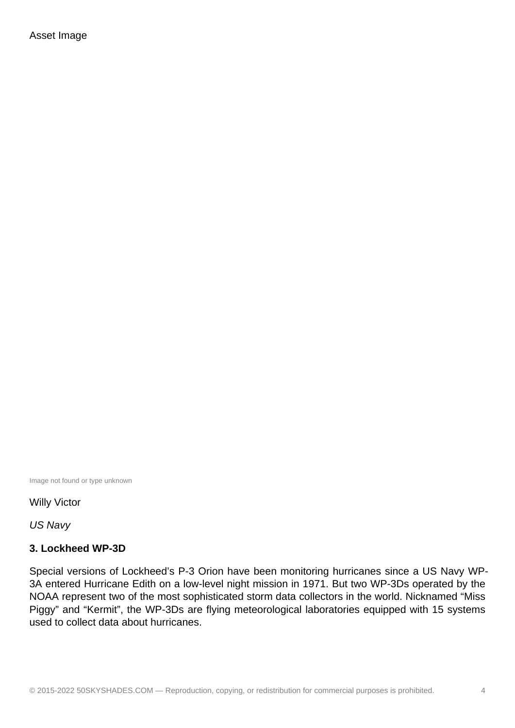Image not found or type unknown

Willy Victor

US Navy

#### **3. Lockheed WP-3D**

Special versions of Lockheed's P-3 Orion have been monitoring hurricanes since a US Navy WP-3A entered Hurricane Edith on a low-level night mission in 1971. But two WP-3Ds operated by the NOAA represent two of the most sophisticated storm data collectors in the world. Nicknamed "Miss Piggy" and "Kermit", the WP-3Ds are flying meteorological laboratories equipped with 15 systems used to collect data about hurricanes.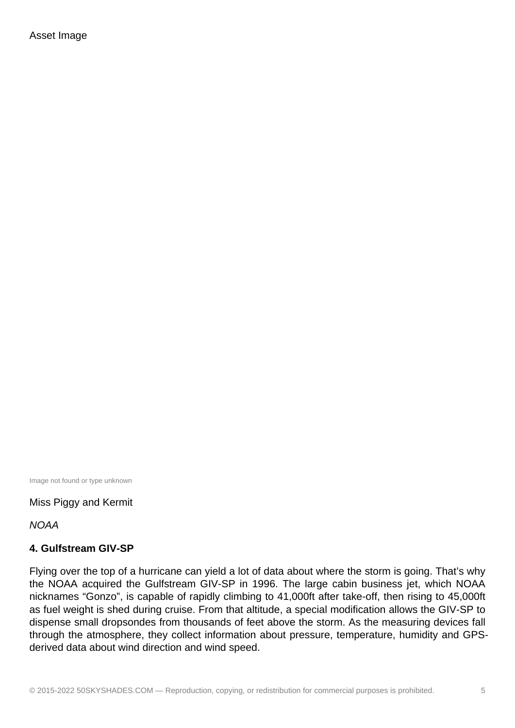Image not found or type unknown

Miss Piggy and Kermit

**NOAA** 

#### **4. Gulfstream GIV-SP**

Flying over the top of a hurricane can yield a lot of data about where the storm is going. That's why the NOAA acquired the Gulfstream GIV-SP in 1996. The large cabin business jet, which NOAA nicknames "Gonzo", is capable of rapidly climbing to 41,000ft after take-off, then rising to 45,000ft as fuel weight is shed during cruise. From that altitude, a special modification allows the GIV-SP to dispense small dropsondes from thousands of feet above the storm. As the measuring devices fall through the atmosphere, they collect information about pressure, temperature, humidity and GPSderived data about wind direction and wind speed.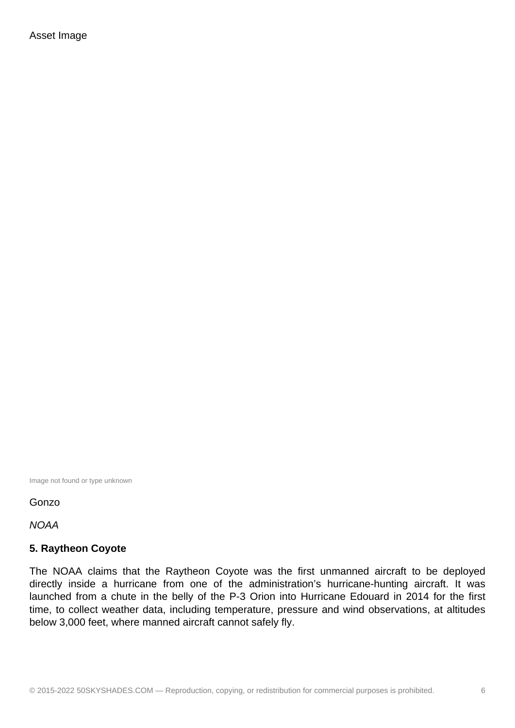Image not found or type unknown

#### Gonzo

**NOAA** 

#### **5. Raytheon Coyote**

The NOAA claims that the Raytheon Coyote was the first unmanned aircraft to be deployed directly inside a hurricane from one of the administration's hurricane-hunting aircraft. It was launched from a chute in the belly of the P-3 Orion into Hurricane Edouard in 2014 for the first time, to collect weather data, including temperature, pressure and wind observations, at altitudes below 3,000 feet, where manned aircraft cannot safely fly.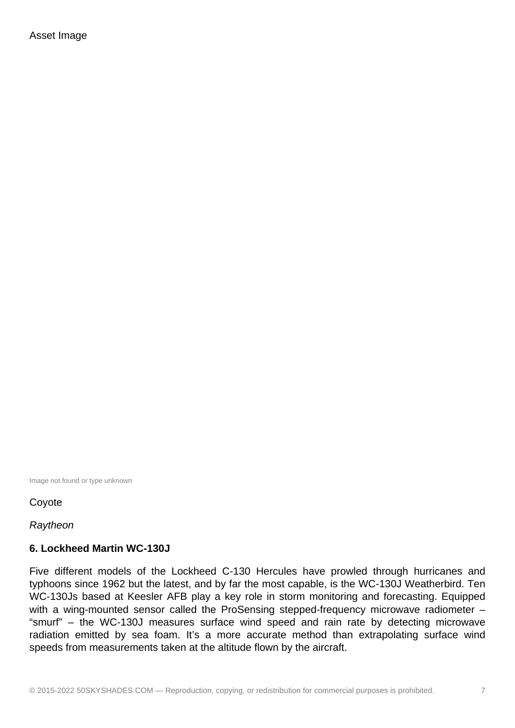Image not found or type unknown

Coyote

Raytheon

#### **6. Lockheed Martin WC-130J**

Five different models of the Lockheed C-130 Hercules have prowled through hurricanes and typhoons since 1962 but the latest, and by far the most capable, is the WC-130J Weatherbird. Ten WC-130Js based at Keesler AFB play a key role in storm monitoring and forecasting. Equipped with a wing-mounted sensor called the ProSensing stepped-frequency microwave radiometer – "smurf" – the WC-130J measures surface wind speed and rain rate by detecting microwave radiation emitted by sea foam. It's a more accurate method than extrapolating surface wind speeds from measurements taken at the altitude flown by the aircraft.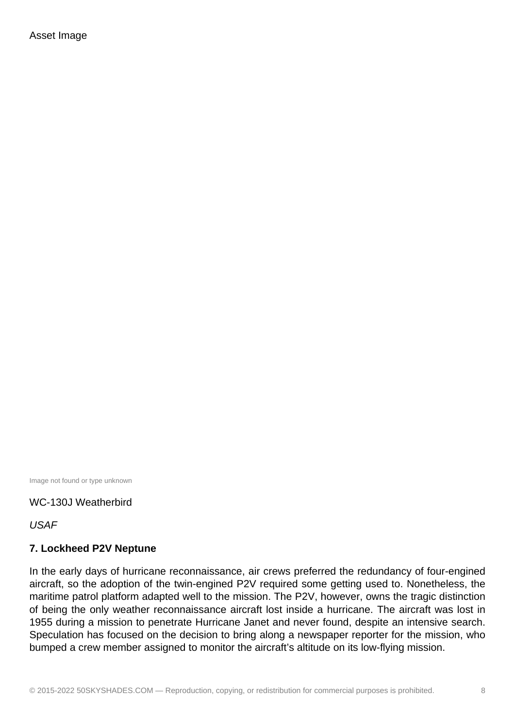Image not found or type unknown

#### WC-130J Weatherbird

USAF

#### **7. Lockheed P2V Neptune**

In the early days of hurricane reconnaissance, air crews preferred the redundancy of four-engined aircraft, so the adoption of the twin-engined P2V required some getting used to. Nonetheless, the maritime patrol platform adapted well to the mission. The P2V, however, owns the tragic distinction of being the only weather reconnaissance aircraft lost inside a hurricane. The aircraft was lost in 1955 during a mission to penetrate Hurricane Janet and never found, despite an intensive search. Speculation has focused on the decision to bring along a newspaper reporter for the mission, who bumped a crew member assigned to monitor the aircraft's altitude on its low-flying mission.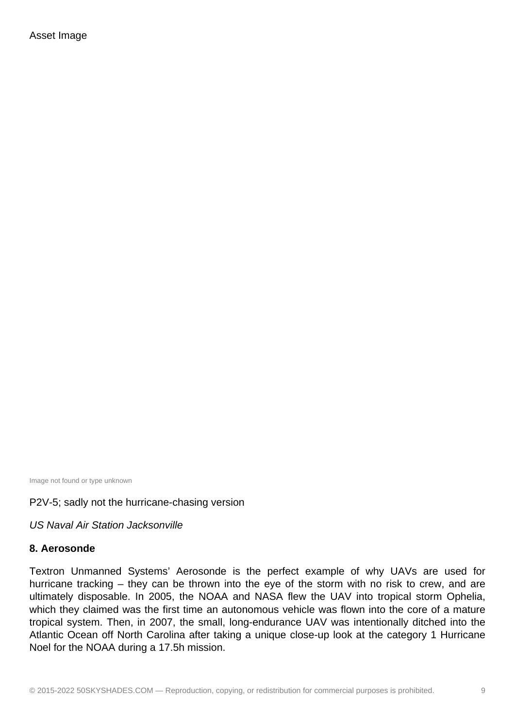Image not found or type unknown

## P2V-5; sadly not the hurricane-chasing version

US Naval Air Station Jacksonville

## **8. Aerosonde**

Textron Unmanned Systems' Aerosonde is the perfect example of why UAVs are used for hurricane tracking – they can be thrown into the eye of the storm with no risk to crew, and are ultimately disposable. In 2005, the NOAA and NASA flew the UAV into tropical storm Ophelia, which they claimed was the first time an autonomous vehicle was flown into the core of a mature tropical system. Then, in 2007, the small, long-endurance UAV was intentionally ditched into the Atlantic Ocean off North Carolina after taking a unique close-up look at the category 1 Hurricane Noel for the NOAA during a 17.5h mission.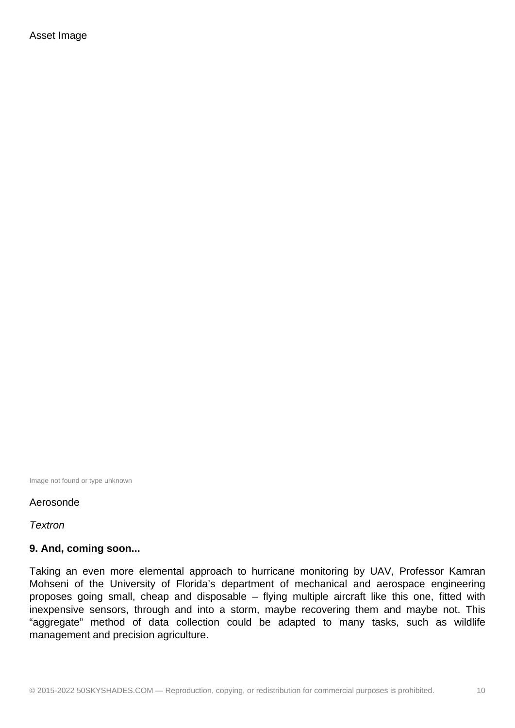Image not found or type unknown

#### Aerosonde

**Textron** 

#### **9. And, coming soon...**

Taking an even more elemental approach to hurricane monitoring by UAV, Professor Kamran Mohseni of the University of Florida's department of mechanical and aerospace engineering proposes going small, cheap and disposable – flying multiple aircraft like this one, fitted with inexpensive sensors, through and into a storm, maybe recovering them and maybe not. This "aggregate" method of data collection could be adapted to many tasks, such as wildlife management and precision agriculture.